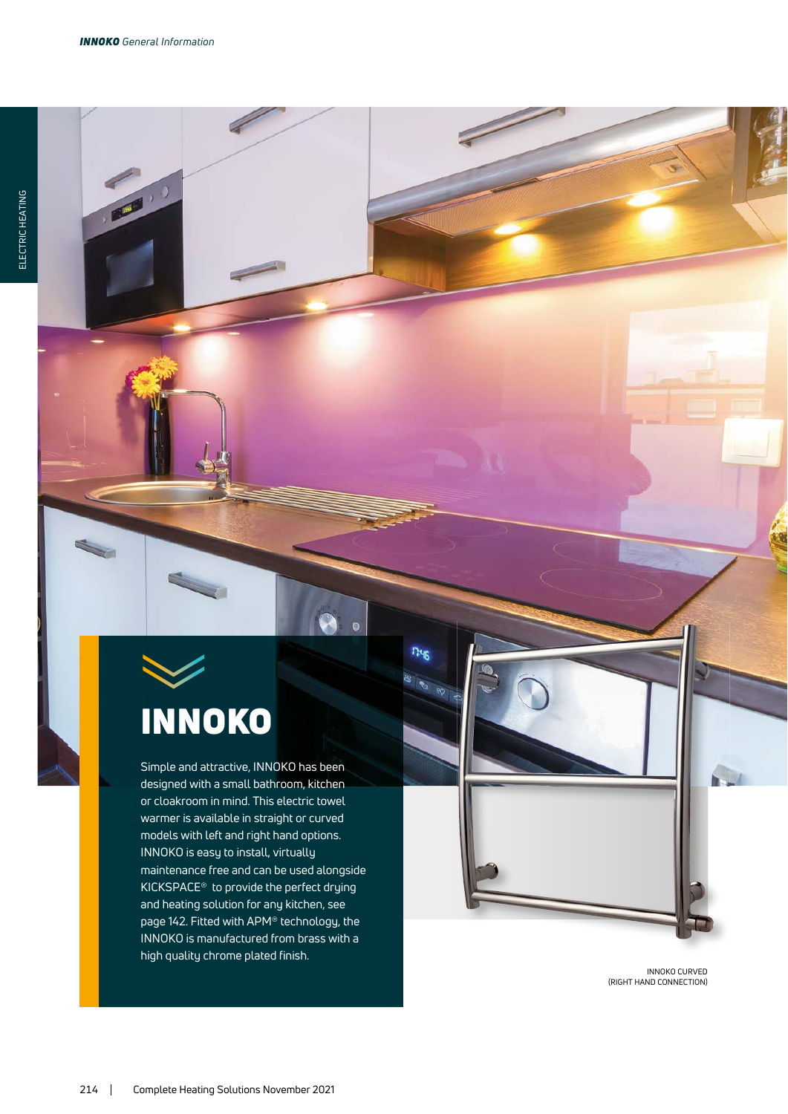**AND ...** 

# INNOKO

Simple and attractive, INNOKO has been designed with a small bathroom, kitchen or cloakroom in mind. This electric towel warmer is available in straight or curved models with left and right hand options. INNOKO is easy to install, virtually maintenance free and can be used alongside KICKSPACE® to provide the perfect drying and heating solution for any kitchen, see page 142. Fitted with APM® technology, the INNOKO is manufactured from brass with a high quality chrome plated finish.

1246

 $\leftarrow$ 

INNOKO CURVED<br>(RIGHT HAND CONNECTION)